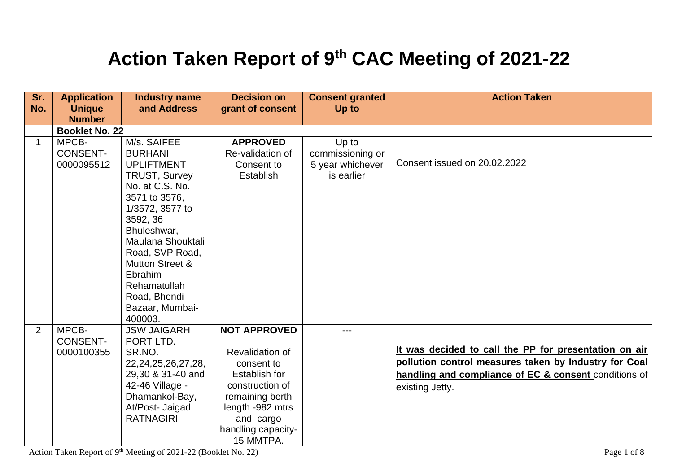## **Action Taken Report of 9th CAC Meeting of 2021-22**

| Sr.         | <b>Application</b>                     | <b>Industry name</b>                                                                                                                                                                                                                                                                                        | <b>Decision on</b>                                                                                                                                                                     | <b>Consent granted</b>                                      | <b>Action Taken</b>                                                                                                                                                                        |
|-------------|----------------------------------------|-------------------------------------------------------------------------------------------------------------------------------------------------------------------------------------------------------------------------------------------------------------------------------------------------------------|----------------------------------------------------------------------------------------------------------------------------------------------------------------------------------------|-------------------------------------------------------------|--------------------------------------------------------------------------------------------------------------------------------------------------------------------------------------------|
| No.         | <b>Unique</b><br><b>Number</b>         | and Address                                                                                                                                                                                                                                                                                                 | grant of consent                                                                                                                                                                       | Up to                                                       |                                                                                                                                                                                            |
|             | <b>Booklet No. 22</b>                  |                                                                                                                                                                                                                                                                                                             |                                                                                                                                                                                        |                                                             |                                                                                                                                                                                            |
| $\mathbf 1$ | MPCB-<br><b>CONSENT-</b><br>0000095512 | M/s. SAIFEE<br><b>BURHANI</b><br><b>UPLIFTMENT</b><br><b>TRUST, Survey</b><br>No. at C.S. No.<br>3571 to 3576,<br>1/3572, 3577 to<br>3592, 36<br>Bhuleshwar,<br>Maulana Shouktali<br>Road, SVP Road,<br><b>Mutton Street &amp;</b><br>Ebrahim<br>Rehamatullah<br>Road, Bhendi<br>Bazaar, Mumbai-<br>400003. | <b>APPROVED</b><br>Re-validation of<br>Consent to<br>Establish                                                                                                                         | Up to<br>commissioning or<br>5 year whichever<br>is earlier | Consent issued on 20.02.2022                                                                                                                                                               |
| 2           | MPCB-<br><b>CONSENT-</b><br>0000100355 | <b>JSW JAIGARH</b><br>PORT LTD.<br>SR.NO.<br>22, 24, 25, 26, 27, 28,<br>29,30 & 31-40 and<br>42-46 Village -<br>Dhamankol-Bay,<br>At/Post- Jaigad<br><b>RATNAGIRI</b>                                                                                                                                       | <b>NOT APPROVED</b><br>Revalidation of<br>consent to<br><b>Establish for</b><br>construction of<br>remaining berth<br>length -982 mtrs<br>and cargo<br>handling capacity-<br>15 MMTPA. | ---                                                         | It was decided to call the PP for presentation on air<br>pollution control measures taken by Industry for Coal<br>handling and compliance of EC & consent conditions of<br>existing Jetty. |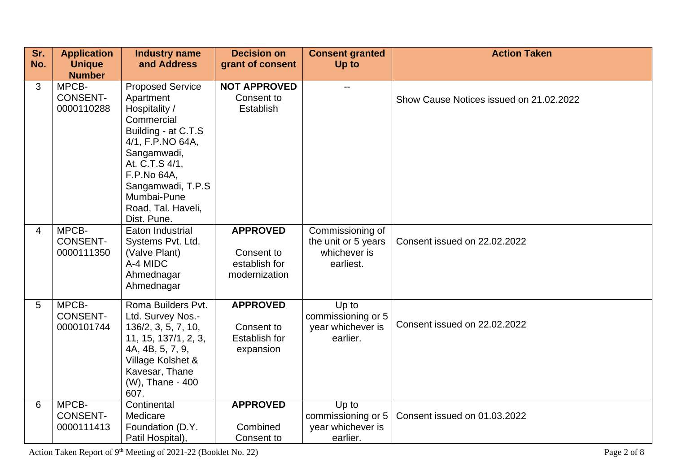| Sr.            | <b>Application</b>                     | <b>Industry name</b>                                                                                                                                                                                                                    | <b>Decision on</b>                                                 | <b>Consent granted</b>                                               | <b>Action Taken</b>                     |
|----------------|----------------------------------------|-----------------------------------------------------------------------------------------------------------------------------------------------------------------------------------------------------------------------------------------|--------------------------------------------------------------------|----------------------------------------------------------------------|-----------------------------------------|
| No.            | <b>Unique</b><br><b>Number</b>         | and Address                                                                                                                                                                                                                             | grant of consent                                                   | Up to                                                                |                                         |
| 3              | MPCB-<br><b>CONSENT-</b><br>0000110288 | <b>Proposed Service</b><br>Apartment<br>Hospitality /<br>Commercial<br>Building - at C.T.S<br>4/1, F.P.NO 64A,<br>Sangamwadi,<br>At. C.T.S 4/1,<br>F.P.No 64A,<br>Sangamwadi, T.P.S<br>Mumbai-Pune<br>Road, Tal. Haveli,<br>Dist. Pune. | <b>NOT APPROVED</b><br>Consent to<br>Establish                     | $\overline{\phantom{a}}$                                             | Show Cause Notices issued on 21.02.2022 |
| $\overline{4}$ | MPCB-<br><b>CONSENT-</b><br>0000111350 | Eaton Industrial<br>Systems Pvt. Ltd.<br>(Valve Plant)<br>A-4 MIDC<br>Ahmednagar<br>Ahmednagar                                                                                                                                          | <b>APPROVED</b><br>Consent to<br>establish for<br>modernization    | Commissioning of<br>the unit or 5 years<br>whichever is<br>earliest. | Consent issued on 22.02.2022            |
| 5              | MPCB-<br><b>CONSENT-</b><br>0000101744 | Roma Builders Pvt.<br>Ltd. Survey Nos.-<br>136/2, 3, 5, 7, 10,<br>11, 15, 137/1, 2, 3,<br>4A, 4B, 5, 7, 9,<br>Village Kolshet &<br>Kavesar, Thane<br>(W), Thane - 400<br>607.                                                           | <b>APPROVED</b><br>Consent to<br><b>Establish for</b><br>expansion | Up to<br>commissioning or 5<br>year whichever is<br>earlier.         | Consent issued on 22.02.2022            |
| 6              | MPCB-<br><b>CONSENT-</b><br>0000111413 | Continental<br>Medicare<br>Foundation (D.Y.<br>Patil Hospital),                                                                                                                                                                         | <b>APPROVED</b><br>Combined<br>Consent to                          | Up to<br>commissioning or 5<br>year whichever is<br>earlier.         | Consent issued on 01.03.2022            |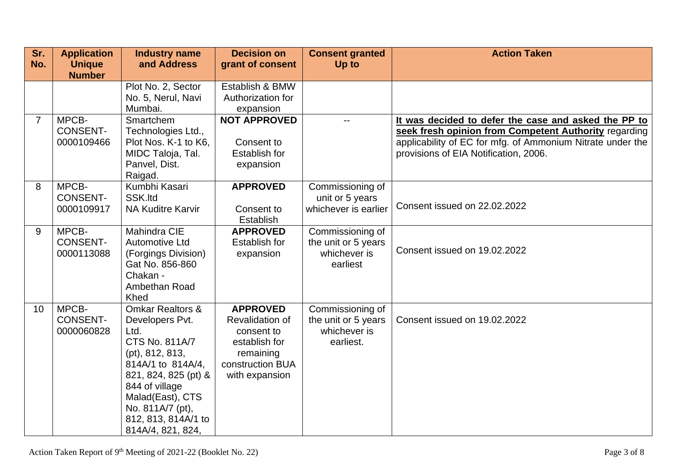| Sr.<br>No. | <b>Application</b><br><b>Unique</b>    | <b>Industry name</b><br>and Address                                                                                                                                                                                                            | <b>Decision on</b><br>grant of consent                                                                               | <b>Consent granted</b><br>Up to                                      | <b>Action Taken</b>                                                                                                                                                                                                  |
|------------|----------------------------------------|------------------------------------------------------------------------------------------------------------------------------------------------------------------------------------------------------------------------------------------------|----------------------------------------------------------------------------------------------------------------------|----------------------------------------------------------------------|----------------------------------------------------------------------------------------------------------------------------------------------------------------------------------------------------------------------|
|            | <b>Number</b>                          |                                                                                                                                                                                                                                                |                                                                                                                      |                                                                      |                                                                                                                                                                                                                      |
|            |                                        | Plot No. 2, Sector<br>No. 5, Nerul, Navi<br>Mumbai.                                                                                                                                                                                            | Establish & BMW<br>Authorization for<br>expansion                                                                    |                                                                      |                                                                                                                                                                                                                      |
| 7          | MPCB-<br><b>CONSENT-</b><br>0000109466 | Smartchem<br>Technologies Ltd.,<br>Plot Nos. K-1 to K6,<br>MIDC Taloja, Tal.<br>Panvel, Dist.<br>Raigad.                                                                                                                                       | <b>NOT APPROVED</b><br>Consent to<br><b>Establish for</b><br>expansion                                               | $- -$                                                                | It was decided to defer the case and asked the PP to<br>seek fresh opinion from Competent Authority regarding<br>applicability of EC for mfg. of Ammonium Nitrate under the<br>provisions of EIA Notification, 2006. |
| 8          | MPCB-<br><b>CONSENT-</b><br>0000109917 | Kumbhi Kasari<br>SSK.Itd<br><b>NA Kuditre Karvir</b>                                                                                                                                                                                           | <b>APPROVED</b><br>Consent to<br><b>Establish</b>                                                                    | Commissioning of<br>unit or 5 years<br>whichever is earlier          | Consent issued on 22.02.2022                                                                                                                                                                                         |
| 9          | MPCB-<br><b>CONSENT-</b><br>0000113088 | <b>Mahindra CIE</b><br><b>Automotive Ltd</b><br>(Forgings Division)<br>Gat No. 856-860<br>Chakan -<br>Ambethan Road<br>Khed                                                                                                                    | <b>APPROVED</b><br><b>Establish for</b><br>expansion                                                                 | Commissioning of<br>the unit or 5 years<br>whichever is<br>earliest  | Consent issued on 19.02.2022                                                                                                                                                                                         |
| 10         | MPCB-<br><b>CONSENT-</b><br>0000060828 | <b>Omkar Realtors &amp;</b><br>Developers Pvt.<br>Ltd.<br>CTS No. 811A/7<br>(pt), 812, 813,<br>814A/1 to 814A/4,<br>821, 824, 825 (pt) &<br>844 of village<br>Malad(East), CTS<br>No. 811A/7 (pt),<br>812, 813, 814A/1 to<br>814A/4, 821, 824, | <b>APPROVED</b><br>Revalidation of<br>consent to<br>establish for<br>remaining<br>construction BUA<br>with expansion | Commissioning of<br>the unit or 5 years<br>whichever is<br>earliest. | Consent issued on 19.02.2022                                                                                                                                                                                         |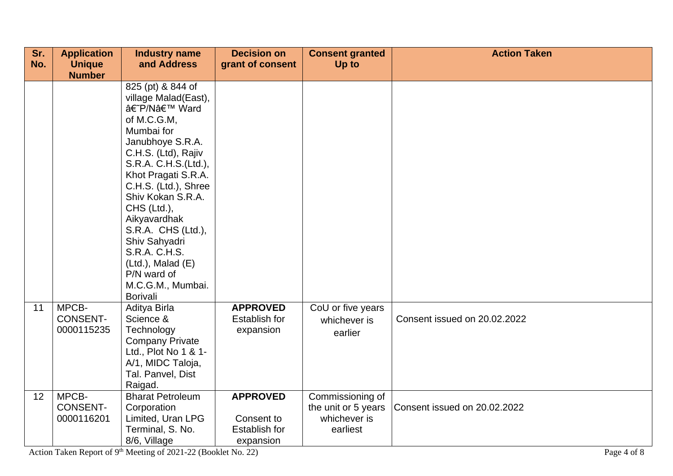| Sr.<br>No. | <b>Application</b>                     | <b>Industry name</b><br>and Address                                                                                                                                                                                                                                                                                                                                                | <b>Decision on</b>                                                 | <b>Consent granted</b>                                              | <b>Action Taken</b>          |
|------------|----------------------------------------|------------------------------------------------------------------------------------------------------------------------------------------------------------------------------------------------------------------------------------------------------------------------------------------------------------------------------------------------------------------------------------|--------------------------------------------------------------------|---------------------------------------------------------------------|------------------------------|
|            | <b>Unique</b><br><b>Number</b>         |                                                                                                                                                                                                                                                                                                                                                                                    | grant of consent                                                   | Up to                                                               |                              |
|            |                                        | 825 (pt) & 844 of<br>village Malad(East),<br>â€~P/N' Ward<br>of M.C.G.M,<br>Mumbai for<br>Janubhoye S.R.A.<br>C.H.S. (Ltd), Rajiv<br>S.R.A. C.H.S.(Ltd.),<br>Khot Pragati S.R.A.<br>C.H.S. (Ltd.), Shree<br>Shiv Kokan S.R.A.<br>CHS (Ltd.),<br>Aikyavardhak<br>S.R.A. CHS (Ltd.),<br>Shiv Sahyadri<br>S.R.A. C.H.S.<br>$(Ltd.)$ , Malad $(E)$<br>P/N ward of<br>M.C.G.M., Mumbai. |                                                                    |                                                                     |                              |
|            |                                        | Borivali                                                                                                                                                                                                                                                                                                                                                                           |                                                                    |                                                                     |                              |
| 11         | MPCB-<br><b>CONSENT-</b><br>0000115235 | Aditya Birla<br>Science &<br>Technology<br><b>Company Private</b><br>Ltd., Plot No 1 & 1-<br>A/1, MIDC Taloja,<br>Tal. Panvel, Dist<br>Raigad.                                                                                                                                                                                                                                     | <b>APPROVED</b><br>Establish for<br>expansion                      | CoU or five years<br>whichever is<br>earlier                        | Consent issued on 20.02.2022 |
| 12         | MPCB-<br><b>CONSENT-</b><br>0000116201 | <b>Bharat Petroleum</b><br>Corporation<br>Limited, Uran LPG<br>Terminal, S. No.<br>8/6, Village                                                                                                                                                                                                                                                                                    | <b>APPROVED</b><br>Consent to<br><b>Establish for</b><br>expansion | Commissioning of<br>the unit or 5 years<br>whichever is<br>earliest | Consent issued on 20.02.2022 |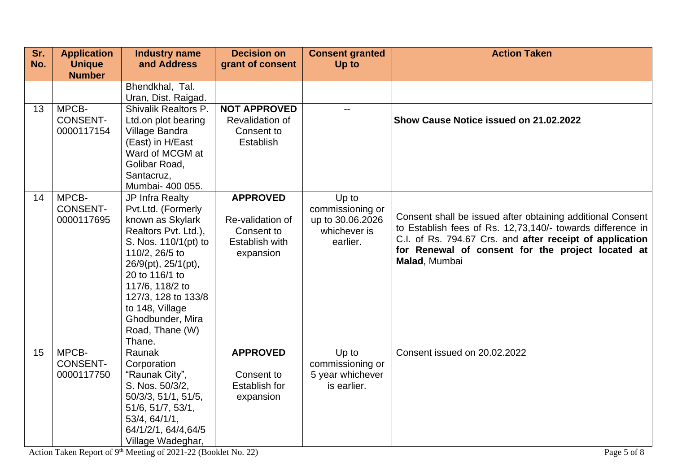| Sr. | <b>Application</b>                     | <b>Industry name</b>                                                                                                                                                                                                                                                               | <b>Decision on</b>                                                               | <b>Consent granted</b>                                                    | <b>Action Taken</b>                                                                                                                                                                                                                                        |
|-----|----------------------------------------|------------------------------------------------------------------------------------------------------------------------------------------------------------------------------------------------------------------------------------------------------------------------------------|----------------------------------------------------------------------------------|---------------------------------------------------------------------------|------------------------------------------------------------------------------------------------------------------------------------------------------------------------------------------------------------------------------------------------------------|
| No. | <b>Unique</b><br><b>Number</b>         | and Address                                                                                                                                                                                                                                                                        | grant of consent                                                                 | Up to                                                                     |                                                                                                                                                                                                                                                            |
|     |                                        | Bhendkhal, Tal.<br>Uran, Dist. Raigad.                                                                                                                                                                                                                                             |                                                                                  |                                                                           |                                                                                                                                                                                                                                                            |
| 13  | MPCB-<br><b>CONSENT-</b><br>0000117154 | <b>Shivalik Realtors P.</b><br>Ltd.on plot bearing<br>Village Bandra<br>(East) in H/East<br>Ward of MCGM at<br>Golibar Road,<br>Santacruz,<br>Mumbai- 400 055.                                                                                                                     | <b>NOT APPROVED</b><br>Revalidation of<br>Consent to<br>Establish                |                                                                           | Show Cause Notice issued on 21.02.2022                                                                                                                                                                                                                     |
| 14  | MPCB-<br><b>CONSENT-</b><br>0000117695 | JP Infra Realty<br>Pvt.Ltd. (Formerly<br>known as Skylark<br>Realtors Pvt. Ltd.),<br>S. Nos. 110/1(pt) to<br>110/2, 26/5 to<br>26/9(pt), 25/1(pt),<br>20 to 116/1 to<br>117/6, 118/2 to<br>127/3, 128 to 133/8<br>to 148, Village<br>Ghodbunder, Mira<br>Road, Thane (W)<br>Thane. | <b>APPROVED</b><br>Re-validation of<br>Consent to<br>Establish with<br>expansion | Up to<br>commissioning or<br>up to 30.06.2026<br>whichever is<br>earlier. | Consent shall be issued after obtaining additional Consent<br>to Establish fees of Rs. 12,73,140/- towards difference in<br>C.I. of Rs. 794.67 Crs. and after receipt of application<br>for Renewal of consent for the project located at<br>Malad, Mumbai |
| 15  | MPCB-<br><b>CONSENT-</b><br>0000117750 | Raunak<br>Corporation<br>"Raunak City",<br>S. Nos. 50/3/2,<br>50/3/3, 51/1, 51/5,<br>51/6, 51/7, 53/1,<br>53/4, 64/1/1,<br>64/1/2/1, 64/4, 64/5<br>Village Wadeghar,                                                                                                               | <b>APPROVED</b><br>Consent to<br>Establish for<br>expansion                      | Up to<br>commissioning or<br>5 year whichever<br>is earlier.              | Consent issued on 20.02.2022                                                                                                                                                                                                                               |

Action Taken Report of 9<sup>th</sup> Meeting of 2021-22 (Booklet No. 22) Page 5 of 8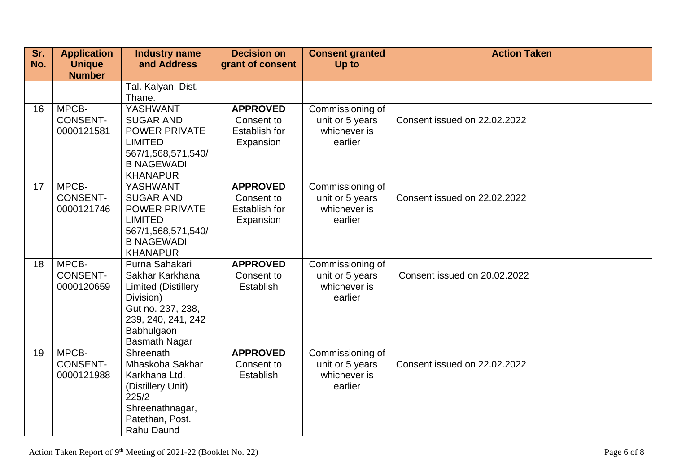| Sr.<br>No. | <b>Application</b><br><b>Unique</b>    | <b>Industry name</b><br>and Address                                                                                                                           | <b>Decision on</b><br>grant of consent                             | <b>Consent granted</b><br>Up to                                | <b>Action Taken</b>          |
|------------|----------------------------------------|---------------------------------------------------------------------------------------------------------------------------------------------------------------|--------------------------------------------------------------------|----------------------------------------------------------------|------------------------------|
|            | <b>Number</b>                          |                                                                                                                                                               |                                                                    |                                                                |                              |
|            |                                        | Tal. Kalyan, Dist.<br>Thane.                                                                                                                                  |                                                                    |                                                                |                              |
| 16         | MPCB-<br><b>CONSENT-</b><br>0000121581 | YASHWANT<br><b>SUGAR AND</b><br><b>POWER PRIVATE</b><br><b>LIMITED</b><br>567/1,568,571,540/<br><b>B NAGEWADI</b><br><b>KHANAPUR</b>                          | <b>APPROVED</b><br>Consent to<br><b>Establish for</b><br>Expansion | Commissioning of<br>unit or 5 years<br>whichever is<br>earlier | Consent issued on 22.02.2022 |
| 17         | MPCB-<br><b>CONSENT-</b><br>0000121746 | YASHWANT<br><b>SUGAR AND</b><br><b>POWER PRIVATE</b><br><b>LIMITED</b><br>567/1,568,571,540/<br><b>B NAGEWADI</b><br><b>KHANAPUR</b>                          | <b>APPROVED</b><br>Consent to<br><b>Establish for</b><br>Expansion | Commissioning of<br>unit or 5 years<br>whichever is<br>earlier | Consent issued on 22.02.2022 |
| 18         | MPCB-<br><b>CONSENT-</b><br>0000120659 | Purna Sahakari<br>Sakhar Karkhana<br><b>Limited (Distillery</b><br>Division)<br>Gut no. 237, 238,<br>239, 240, 241, 242<br>Babhulgaon<br><b>Basmath Nagar</b> | <b>APPROVED</b><br>Consent to<br><b>Establish</b>                  | Commissioning of<br>unit or 5 years<br>whichever is<br>earlier | Consent issued on 20.02.2022 |
| 19         | MPCB-<br><b>CONSENT-</b><br>0000121988 | Shreenath<br>Mhaskoba Sakhar<br>Karkhana Ltd.<br>(Distillery Unit)<br>225/2<br>Shreenathnagar,<br>Patethan, Post.<br>Rahu Daund                               | <b>APPROVED</b><br>Consent to<br>Establish                         | Commissioning of<br>unit or 5 years<br>whichever is<br>earlier | Consent issued on 22.02.2022 |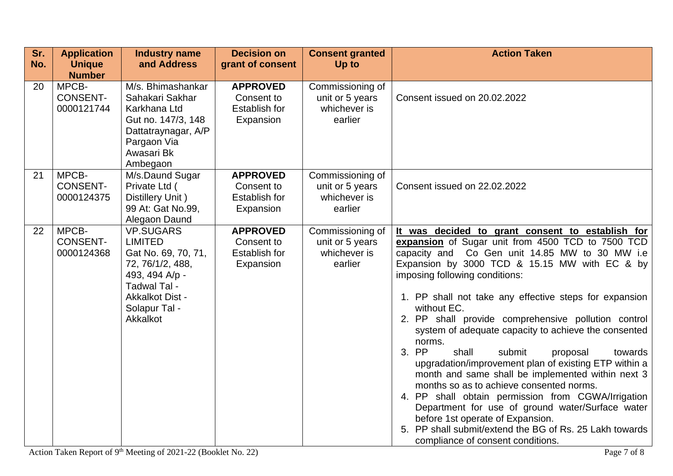| Sr. | <b>Application</b>            | <b>Industry name</b>               | <b>Decision on</b>                 | <b>Consent granted</b>          | <b>Action Taken</b>                                                                                 |
|-----|-------------------------------|------------------------------------|------------------------------------|---------------------------------|-----------------------------------------------------------------------------------------------------|
| No. | <b>Unique</b>                 | and Address                        | grant of consent                   | Up to                           |                                                                                                     |
|     | <b>Number</b>                 |                                    |                                    |                                 |                                                                                                     |
| 20  | MPCB-                         | M/s. Bhimashankar                  | <b>APPROVED</b>                    | Commissioning of                |                                                                                                     |
|     | <b>CONSENT-</b>               | Sahakari Sakhar                    | Consent to                         | unit or 5 years                 | Consent issued on 20.02.2022                                                                        |
|     | 0000121744                    | Karkhana Ltd<br>Gut no. 147/3, 148 | <b>Establish for</b><br>Expansion  | whichever is<br>earlier         |                                                                                                     |
|     |                               | Dattatraynagar, A/P                |                                    |                                 |                                                                                                     |
|     |                               | Pargaon Via                        |                                    |                                 |                                                                                                     |
|     |                               | Awasari Bk                         |                                    |                                 |                                                                                                     |
|     |                               | Ambegaon                           |                                    |                                 |                                                                                                     |
| 21  | MPCB-                         | M/s.Daund Sugar                    | <b>APPROVED</b>                    | Commissioning of                |                                                                                                     |
|     | <b>CONSENT-</b>               | Private Ltd (                      | Consent to                         | unit or 5 years                 | Consent issued on 22.02.2022                                                                        |
|     | 0000124375                    | Distillery Unit)                   | <b>Establish for</b>               | whichever is                    |                                                                                                     |
|     |                               | 99 At: Gat No.99,                  | Expansion                          | earlier                         |                                                                                                     |
|     |                               | Alegaon Daund                      |                                    |                                 |                                                                                                     |
| 22  | MPCB-                         | <b>VP.SUGARS</b><br><b>LIMITED</b> | <b>APPROVED</b>                    | Commissioning of                | It was decided to grant consent to establish for                                                    |
|     | <b>CONSENT-</b><br>0000124368 | Gat No. 69, 70, 71,                | Consent to<br><b>Establish for</b> | unit or 5 years<br>whichever is | expansion of Sugar unit from 4500 TCD to 7500 TCD<br>capacity and Co Gen unit 14.85 MW to 30 MW i.e |
|     |                               | 72, 76/1/2, 488,                   | Expansion                          | earlier                         | Expansion by 3000 TCD & 15.15 MW with EC & by                                                       |
|     |                               | 493, 494 A/p -                     |                                    |                                 | imposing following conditions:                                                                      |
|     |                               | Tadwal Tal -                       |                                    |                                 |                                                                                                     |
|     |                               | <b>Akkalkot Dist -</b>             |                                    |                                 | 1. PP shall not take any effective steps for expansion                                              |
|     |                               | Solapur Tal -                      |                                    |                                 | without EC.                                                                                         |
|     |                               | Akkalkot                           |                                    |                                 | 2. PP shall provide comprehensive pollution control                                                 |
|     |                               |                                    |                                    |                                 | system of adequate capacity to achieve the consented                                                |
|     |                               |                                    |                                    |                                 | norms.                                                                                              |
|     |                               |                                    |                                    |                                 | 3. PP<br>shall<br>submit<br>proposal<br>towards                                                     |
|     |                               |                                    |                                    |                                 | upgradation/improvement plan of existing ETP within a                                               |
|     |                               |                                    |                                    |                                 | month and same shall be implemented within next 3<br>months so as to achieve consented norms.       |
|     |                               |                                    |                                    |                                 | 4. PP shall obtain permission from CGWA/Irrigation                                                  |
|     |                               |                                    |                                    |                                 | Department for use of ground water/Surface water                                                    |
|     |                               |                                    |                                    |                                 | before 1st operate of Expansion.                                                                    |
|     |                               |                                    |                                    |                                 | 5. PP shall submit/extend the BG of Rs. 25 Lakh towards                                             |
|     |                               |                                    |                                    |                                 | compliance of consent conditions.                                                                   |